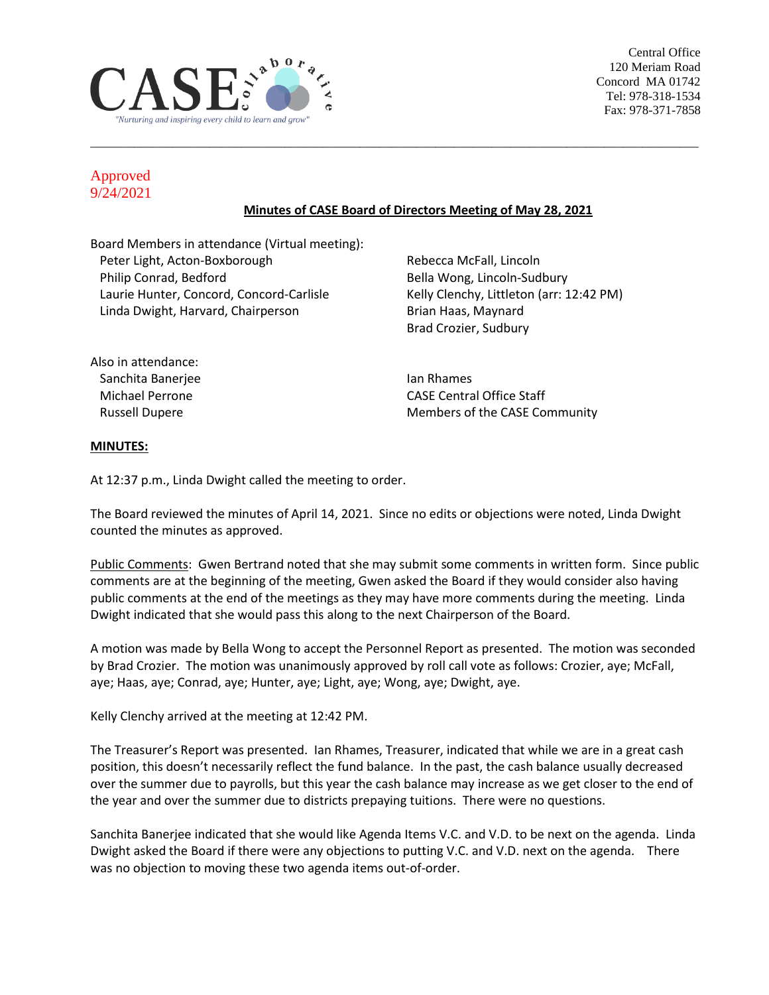

# Approved 9/24/2021

## **Minutes of CASE Board of Directors Meeting of May 28, 2021**

 $\_$  ,  $\_$  ,  $\_$  ,  $\_$  ,  $\_$  ,  $\_$  ,  $\_$  ,  $\_$  ,  $\_$  ,  $\_$  ,  $\_$  ,  $\_$  ,  $\_$  ,  $\_$  ,  $\_$  ,  $\_$  ,  $\_$  ,  $\_$  ,  $\_$  ,  $\_$  ,  $\_$  ,  $\_$  ,  $\_$  ,  $\_$  ,  $\_$  ,  $\_$  ,  $\_$  ,  $\_$  ,  $\_$  ,  $\_$  ,  $\_$  ,  $\_$  ,  $\_$  ,  $\_$  ,  $\_$  ,  $\_$  ,  $\_$  ,

Board Members in attendance (Virtual meeting): Peter Light, Acton-Boxborough Rebecca McFall, Lincoln Philip Conrad, Bedford **Bella Wong, Lincoln-Sudbury** Laurie Hunter, Concord, Concord-Carlisle Kelly Clenchy, Littleton (arr: 12:42 PM) Linda Dwight, Harvard, Chairperson **Brian Haas, Maynard** 

Brad Crozier, Sudbury

Also in attendance: Sanchita Banerjee **Ian Rhames** Ian Rhames

 Michael Perrone CASE Central Office Staff Russell Dupere **Members of the CASE Community** 

## **MINUTES:**

At 12:37 p.m., Linda Dwight called the meeting to order.

The Board reviewed the minutes of April 14, 2021. Since no edits or objections were noted, Linda Dwight counted the minutes as approved.

Public Comments: Gwen Bertrand noted that she may submit some comments in written form. Since public comments are at the beginning of the meeting, Gwen asked the Board if they would consider also having public comments at the end of the meetings as they may have more comments during the meeting. Linda Dwight indicated that she would pass this along to the next Chairperson of the Board.

A motion was made by Bella Wong to accept the Personnel Report as presented. The motion was seconded by Brad Crozier. The motion was unanimously approved by roll call vote as follows: Crozier, aye; McFall, aye; Haas, aye; Conrad, aye; Hunter, aye; Light, aye; Wong, aye; Dwight, aye.

Kelly Clenchy arrived at the meeting at 12:42 PM.

The Treasurer's Report was presented. Ian Rhames, Treasurer, indicated that while we are in a great cash position, this doesn't necessarily reflect the fund balance. In the past, the cash balance usually decreased over the summer due to payrolls, but this year the cash balance may increase as we get closer to the end of the year and over the summer due to districts prepaying tuitions. There were no questions.

Sanchita Banerjee indicated that she would like Agenda Items V.C. and V.D. to be next on the agenda. Linda Dwight asked the Board if there were any objections to putting V.C. and V.D. next on the agenda. There was no objection to moving these two agenda items out-of-order.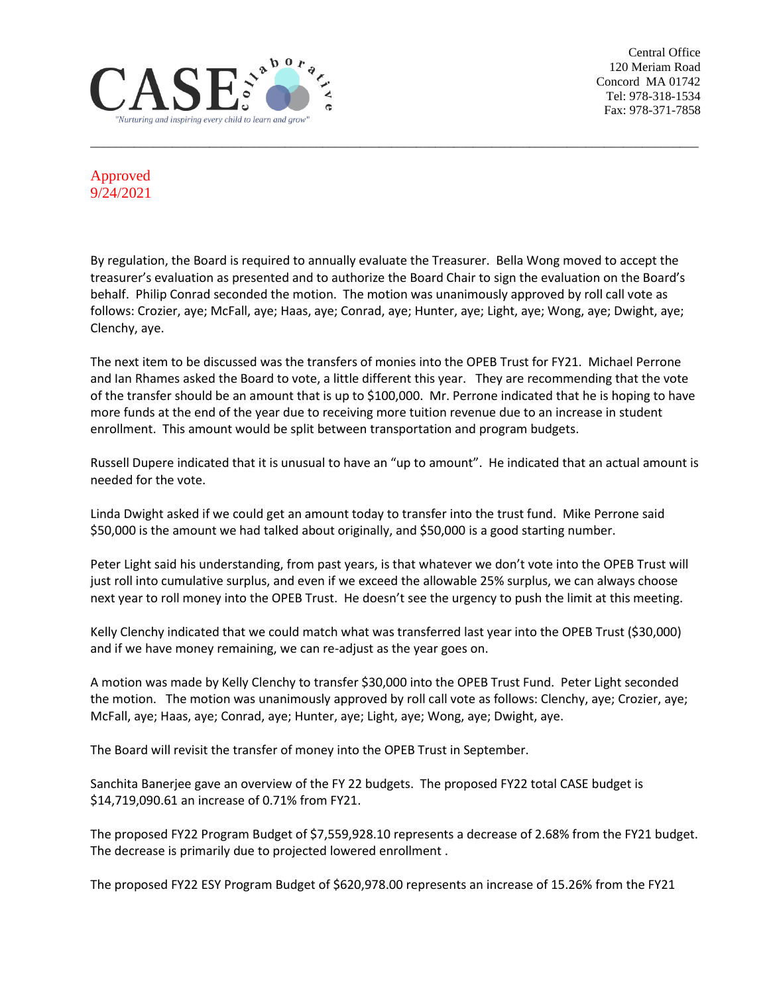

Approved 9/24/2021

By regulation, the Board is required to annually evaluate the Treasurer. Bella Wong moved to accept the treasurer's evaluation as presented and to authorize the Board Chair to sign the evaluation on the Board's behalf. Philip Conrad seconded the motion. The motion was unanimously approved by roll call vote as follows: Crozier, aye; McFall, aye; Haas, aye; Conrad, aye; Hunter, aye; Light, aye; Wong, aye; Dwight, aye; Clenchy, aye.

 $\_$  ,  $\_$  ,  $\_$  ,  $\_$  ,  $\_$  ,  $\_$  ,  $\_$  ,  $\_$  ,  $\_$  ,  $\_$  ,  $\_$  ,  $\_$  ,  $\_$  ,  $\_$  ,  $\_$  ,  $\_$  ,  $\_$  ,  $\_$  ,  $\_$  ,  $\_$  ,  $\_$  ,  $\_$  ,  $\_$  ,  $\_$  ,  $\_$  ,  $\_$  ,  $\_$  ,  $\_$  ,  $\_$  ,  $\_$  ,  $\_$  ,  $\_$  ,  $\_$  ,  $\_$  ,  $\_$  ,  $\_$  ,  $\_$  ,

The next item to be discussed was the transfers of monies into the OPEB Trust for FY21. Michael Perrone and Ian Rhames asked the Board to vote, a little different this year. They are recommending that the vote of the transfer should be an amount that is up to \$100,000. Mr. Perrone indicated that he is hoping to have more funds at the end of the year due to receiving more tuition revenue due to an increase in student enrollment. This amount would be split between transportation and program budgets.

Russell Dupere indicated that it is unusual to have an "up to amount". He indicated that an actual amount is needed for the vote.

Linda Dwight asked if we could get an amount today to transfer into the trust fund. Mike Perrone said \$50,000 is the amount we had talked about originally, and \$50,000 is a good starting number.

Peter Light said his understanding, from past years, is that whatever we don't vote into the OPEB Trust will just roll into cumulative surplus, and even if we exceed the allowable 25% surplus, we can always choose next year to roll money into the OPEB Trust. He doesn't see the urgency to push the limit at this meeting.

Kelly Clenchy indicated that we could match what was transferred last year into the OPEB Trust (\$30,000) and if we have money remaining, we can re-adjust as the year goes on.

A motion was made by Kelly Clenchy to transfer \$30,000 into the OPEB Trust Fund. Peter Light seconded the motion. The motion was unanimously approved by roll call vote as follows: Clenchy, aye; Crozier, aye; McFall, aye; Haas, aye; Conrad, aye; Hunter, aye; Light, aye; Wong, aye; Dwight, aye.

The Board will revisit the transfer of money into the OPEB Trust in September.

Sanchita Banerjee gave an overview of the FY 22 budgets. The proposed FY22 total CASE budget is \$14,719,090.61 an increase of 0.71% from FY21.

The proposed FY22 Program Budget of \$7,559,928.10 represents a decrease of 2.68% from the FY21 budget. The decrease is primarily due to projected lowered enrollment .

The proposed FY22 ESY Program Budget of \$620,978.00 represents an increase of 15.26% from the FY21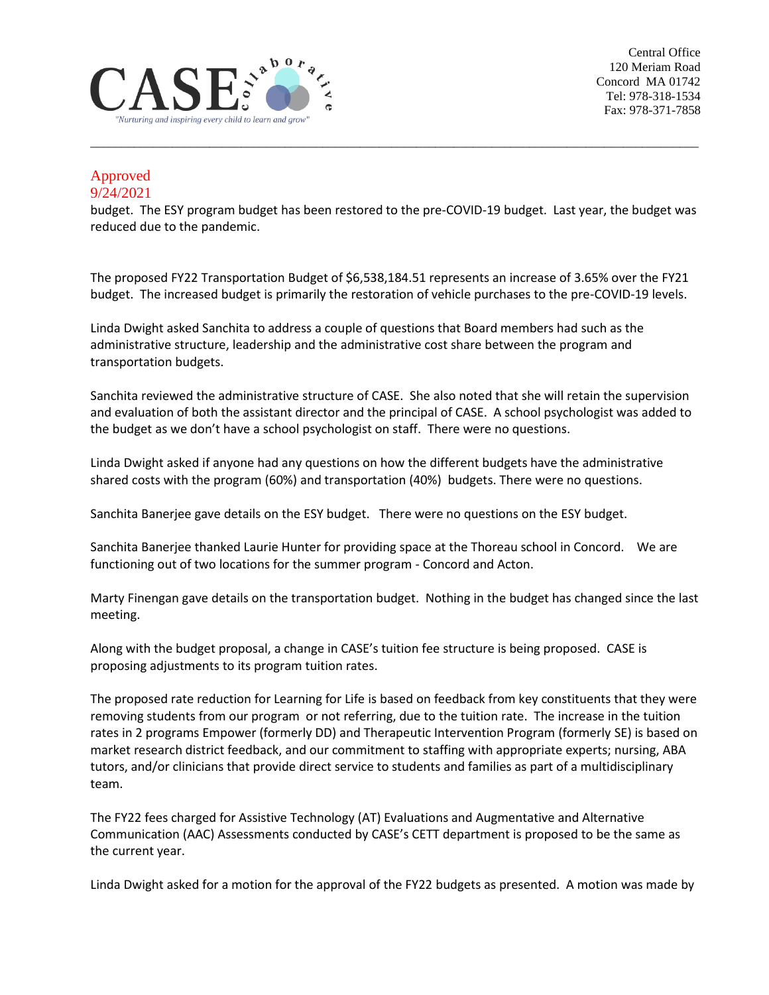

## Approved 9/24/2021

budget. The ESY program budget has been restored to the pre-COVID-19 budget. Last year, the budget was reduced due to the pandemic.

 $\_$  ,  $\_$  ,  $\_$  ,  $\_$  ,  $\_$  ,  $\_$  ,  $\_$  ,  $\_$  ,  $\_$  ,  $\_$  ,  $\_$  ,  $\_$  ,  $\_$  ,  $\_$  ,  $\_$  ,  $\_$  ,  $\_$  ,  $\_$  ,  $\_$  ,  $\_$  ,  $\_$  ,  $\_$  ,  $\_$  ,  $\_$  ,  $\_$  ,  $\_$  ,  $\_$  ,  $\_$  ,  $\_$  ,  $\_$  ,  $\_$  ,  $\_$  ,  $\_$  ,  $\_$  ,  $\_$  ,  $\_$  ,  $\_$  ,

The proposed FY22 Transportation Budget of \$6,538,184.51 represents an increase of 3.65% over the FY21 budget. The increased budget is primarily the restoration of vehicle purchases to the pre-COVID-19 levels.

Linda Dwight asked Sanchita to address a couple of questions that Board members had such as the administrative structure, leadership and the administrative cost share between the program and transportation budgets.

Sanchita reviewed the administrative structure of CASE. She also noted that she will retain the supervision and evaluation of both the assistant director and the principal of CASE. A school psychologist was added to the budget as we don't have a school psychologist on staff. There were no questions.

Linda Dwight asked if anyone had any questions on how the different budgets have the administrative shared costs with the program (60%) and transportation (40%) budgets. There were no questions.

Sanchita Banerjee gave details on the ESY budget. There were no questions on the ESY budget.

Sanchita Banerjee thanked Laurie Hunter for providing space at the Thoreau school in Concord. We are functioning out of two locations for the summer program - Concord and Acton.

Marty Finengan gave details on the transportation budget. Nothing in the budget has changed since the last meeting.

Along with the budget proposal, a change in CASE's tuition fee structure is being proposed. CASE is proposing adjustments to its program tuition rates.

The proposed rate reduction for Learning for Life is based on feedback from key constituents that they were removing students from our program or not referring, due to the tuition rate. The increase in the tuition rates in 2 programs Empower (formerly DD) and Therapeutic Intervention Program (formerly SE) is based on market research district feedback, and our commitment to staffing with appropriate experts; nursing, ABA tutors, and/or clinicians that provide direct service to students and families as part of a multidisciplinary team.

The FY22 fees charged for Assistive Technology (AT) Evaluations and Augmentative and Alternative Communication (AAC) Assessments conducted by CASE's CETT department is proposed to be the same as the current year.

Linda Dwight asked for a motion for the approval of the FY22 budgets as presented. A motion was made by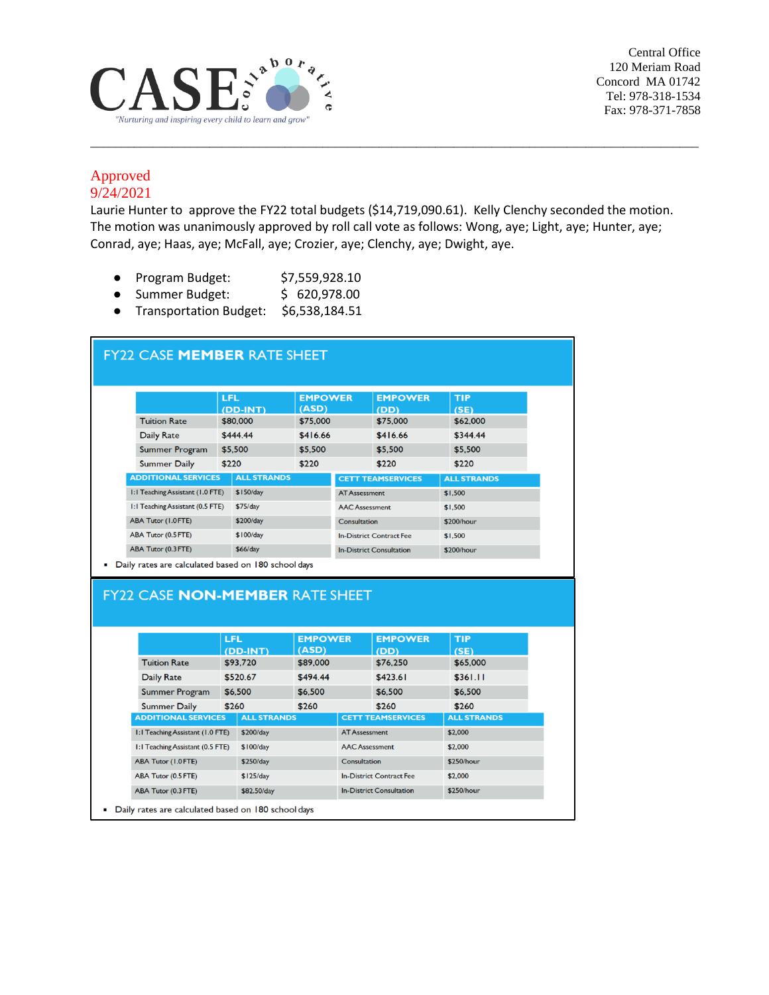

## Approved 9/24/2021

Laurie Hunter to approve the FY22 total budgets (\$14,719,090.61). Kelly Clenchy seconded the motion. The motion was unanimously approved by roll call vote as follows: Wong, aye; Light, aye; Hunter, aye; Conrad, aye; Haas, aye; McFall, aye; Crozier, aye; Clenchy, aye; Dwight, aye.

 $\_$  ,  $\_$  ,  $\_$  ,  $\_$  ,  $\_$  ,  $\_$  ,  $\_$  ,  $\_$  ,  $\_$  ,  $\_$  ,  $\_$  ,  $\_$  ,  $\_$  ,  $\_$  ,  $\_$  ,  $\_$  ,  $\_$  ,  $\_$  ,  $\_$  ,  $\_$  ,  $\_$  ,  $\_$  ,  $\_$  ,  $\_$  ,  $\_$  ,  $\_$  ,  $\_$  ,  $\_$  ,  $\_$  ,  $\_$  ,  $\_$  ,  $\_$  ,  $\_$  ,  $\_$  ,  $\_$  ,  $\_$  ,  $\_$  ,

- Program Budget: \$7,559,928.10
- Summer Budget: \$ 620,978.00
- Transportation Budget: \$6,538,184.51

| FY22 CASE MEMBER RATE SHEET                                                                                   |            |                    |                       |                       |                                   |                             |
|---------------------------------------------------------------------------------------------------------------|------------|--------------------|-----------------------|-----------------------|-----------------------------------|-----------------------------|
|                                                                                                               |            |                    |                       |                       |                                   |                             |
|                                                                                                               | LFL        |                    | <b>EMPOWER</b>        |                       | <b>EMPOWER</b>                    | <b>TIP</b>                  |
|                                                                                                               |            | (DD-INT)           | (ASD)                 |                       | (DD)                              | (SE)                        |
| <b>Tuition Rate</b>                                                                                           | \$80,000   |                    | \$75,000              |                       | \$75,000                          | \$62,000                    |
| <b>Daily Rate</b>                                                                                             | \$444.44   |                    | \$416.66              |                       | \$416.66                          | \$344.44                    |
| <b>Summer Program</b>                                                                                         | \$5,500    |                    | \$5,500               |                       | \$5,500                           | \$5,500                     |
| <b>Summer Daily</b>                                                                                           | \$220      |                    | \$220                 |                       | \$220                             | \$220                       |
| <b>ADDITIONAL SERVICES</b>                                                                                    |            | <b>ALL STRANDS</b> |                       |                       | <b>CETT TEAMSERVICES</b>          | <b>ALL STRANDS</b>          |
| I: I Teaching Assistant (I.0 FTE)                                                                             |            | \$150/day          |                       | <b>AT Assessment</b>  |                                   | \$1,500                     |
| I: I Teaching Assistant (0.5 FTE)                                                                             |            | \$75/day           | <b>AAC Assessment</b> |                       |                                   | \$1,500                     |
| ABA Tutor (I.0FTE)                                                                                            |            | \$200/day          | Consultation          |                       |                                   | \$200/hour                  |
| ABA Tutor (0.5 FTE)                                                                                           |            | \$100/day          |                       |                       | <b>In-District Contract Fee</b>   | \$1,500                     |
|                                                                                                               |            |                    |                       |                       |                                   |                             |
| ABA Tutor (0.3 FTE)<br>Daily rates are calculated based on 180 school days<br>FY22 CASE NON-MEMBER RATE SHEET |            | \$66/day           |                       |                       | <b>In-District Consultation</b>   | \$200/hour                  |
|                                                                                                               |            |                    |                       |                       |                                   |                             |
|                                                                                                               | <b>LFL</b> |                    | <b>EMPOWER</b>        |                       | <b>EMPOWER</b>                    | <b>TIP</b>                  |
|                                                                                                               |            | $(DD-INT)$         | (ASD)                 |                       | (DD)                              | (SE)                        |
| <b>Tuition Rate</b>                                                                                           |            | \$93,720           | \$89,000              |                       | \$76,250                          | \$65,000                    |
| <b>Daily Rate</b>                                                                                             |            | \$520.67           | \$494.44              |                       | \$423.61                          | \$361.11                    |
| <b>Summer Program</b>                                                                                         | \$6,500    |                    | \$6,500               |                       | \$6,500                           | \$6.500                     |
| <b>Summer Daily</b><br><b>ADDITIONAL SERVICES</b>                                                             | \$260      | <b>ALL STRANDS</b> | \$260                 |                       | \$260<br><b>CETT TEAMSERVICES</b> | \$260<br><b>ALL STRANDS</b> |
| I: I Teaching Assistant (I.0 FTE)                                                                             |            | \$200/day          |                       | <b>AT Assessment</b>  |                                   | \$2,000                     |
| I: I Teaching Assistant (0.5 FTE)                                                                             |            | \$100/day          |                       | <b>AAC Assessment</b> |                                   | \$2,000                     |
| ABA Tutor (1.0FTE)                                                                                            |            | \$250/day          |                       | Consultation          |                                   | \$250/hour                  |
| ABA Tutor (0.5 FTE)                                                                                           |            | \$125/day          |                       |                       | <b>In-District Contract Fee</b>   | \$2,000                     |

Daily rates are calculated based on 180 school days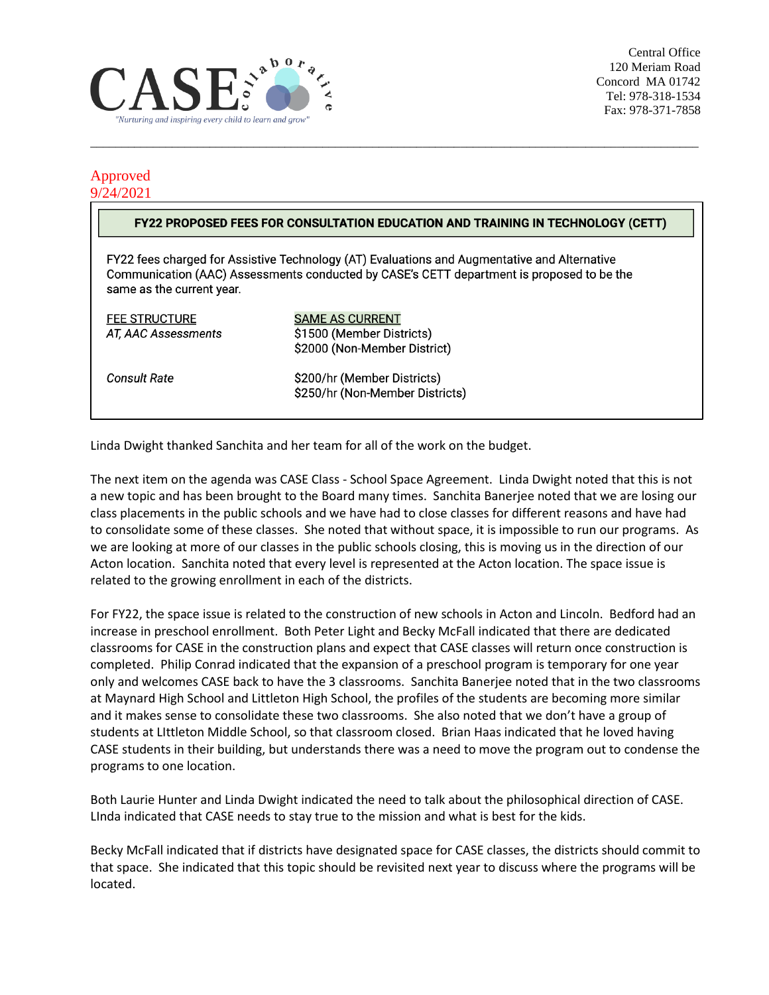

# Approved 9/24/2021

| FY22 PROPOSED FEES FOR CONSULTATION EDUCATION AND TRAINING IN TECHNOLOGY (CETT) |                                                                                                                                                                                           |  |  |  |  |  |
|---------------------------------------------------------------------------------|-------------------------------------------------------------------------------------------------------------------------------------------------------------------------------------------|--|--|--|--|--|
| same as the current year.                                                       | FY22 fees charged for Assistive Technology (AT) Evaluations and Augmentative and Alternative<br>Communication (AAC) Assessments conducted by CASE's CETT department is proposed to be the |  |  |  |  |  |
| <b>FEE STRUCTURE</b><br>AT, AAC Assessments                                     | <b>SAME AS CURRENT</b><br>\$1500 (Member Districts)<br>\$2000 (Non-Member District)                                                                                                       |  |  |  |  |  |
| <b>Consult Rate</b>                                                             | \$200/hr (Member Districts)<br>\$250/hr (Non-Member Districts)                                                                                                                            |  |  |  |  |  |

 $\_$  ,  $\_$  ,  $\_$  ,  $\_$  ,  $\_$  ,  $\_$  ,  $\_$  ,  $\_$  ,  $\_$  ,  $\_$  ,  $\_$  ,  $\_$  ,  $\_$  ,  $\_$  ,  $\_$  ,  $\_$  ,  $\_$  ,  $\_$  ,  $\_$  ,  $\_$  ,  $\_$  ,  $\_$  ,  $\_$  ,  $\_$  ,  $\_$  ,  $\_$  ,  $\_$  ,  $\_$  ,  $\_$  ,  $\_$  ,  $\_$  ,  $\_$  ,  $\_$  ,  $\_$  ,  $\_$  ,  $\_$  ,  $\_$  ,

Linda Dwight thanked Sanchita and her team for all of the work on the budget.

The next item on the agenda was CASE Class - School Space Agreement. Linda Dwight noted that this is not a new topic and has been brought to the Board many times. Sanchita Banerjee noted that we are losing our class placements in the public schools and we have had to close classes for different reasons and have had to consolidate some of these classes. She noted that without space, it is impossible to run our programs. As we are looking at more of our classes in the public schools closing, this is moving us in the direction of our Acton location. Sanchita noted that every level is represented at the Acton location. The space issue is related to the growing enrollment in each of the districts.

For FY22, the space issue is related to the construction of new schools in Acton and Lincoln. Bedford had an increase in preschool enrollment. Both Peter Light and Becky McFall indicated that there are dedicated classrooms for CASE in the construction plans and expect that CASE classes will return once construction is completed. Philip Conrad indicated that the expansion of a preschool program is temporary for one year only and welcomes CASE back to have the 3 classrooms. Sanchita Banerjee noted that in the two classrooms at Maynard High School and Littleton High School, the profiles of the students are becoming more similar and it makes sense to consolidate these two classrooms. She also noted that we don't have a group of students at LIttleton Middle School, so that classroom closed. Brian Haas indicated that he loved having CASE students in their building, but understands there was a need to move the program out to condense the programs to one location.

Both Laurie Hunter and Linda Dwight indicated the need to talk about the philosophical direction of CASE. LInda indicated that CASE needs to stay true to the mission and what is best for the kids.

Becky McFall indicated that if districts have designated space for CASE classes, the districts should commit to that space. She indicated that this topic should be revisited next year to discuss where the programs will be located.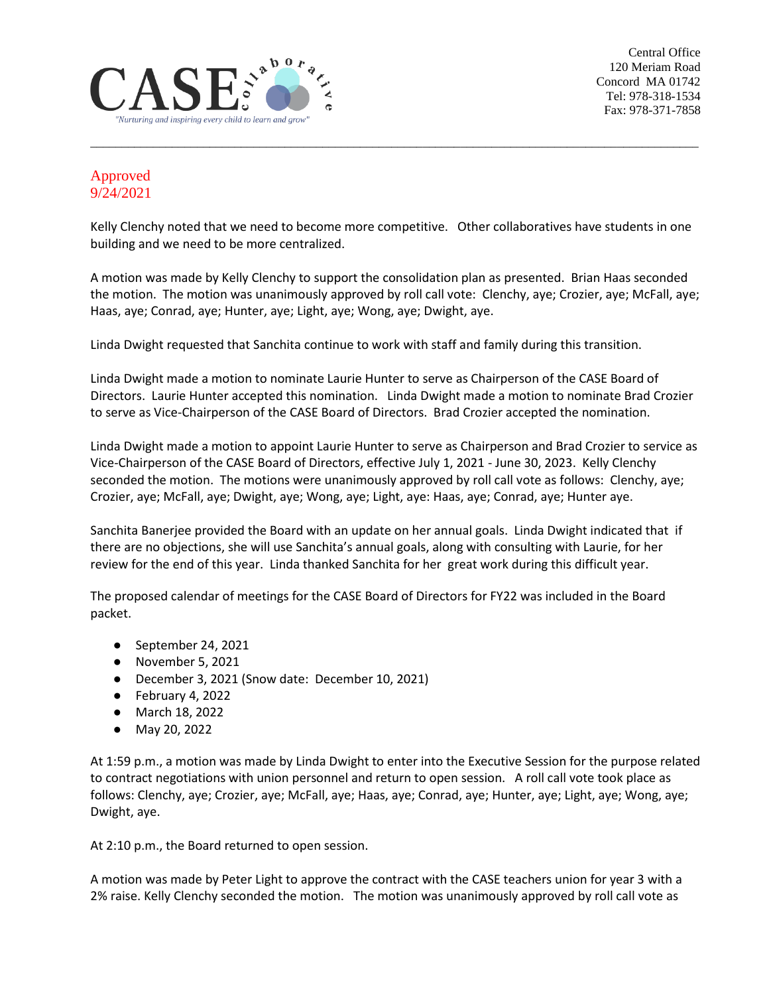

# Approved 9/24/2021

Kelly Clenchy noted that we need to become more competitive. Other collaboratives have students in one building and we need to be more centralized.

 $\_$  ,  $\_$  ,  $\_$  ,  $\_$  ,  $\_$  ,  $\_$  ,  $\_$  ,  $\_$  ,  $\_$  ,  $\_$  ,  $\_$  ,  $\_$  ,  $\_$  ,  $\_$  ,  $\_$  ,  $\_$  ,  $\_$  ,  $\_$  ,  $\_$  ,  $\_$  ,  $\_$  ,  $\_$  ,  $\_$  ,  $\_$  ,  $\_$  ,  $\_$  ,  $\_$  ,  $\_$  ,  $\_$  ,  $\_$  ,  $\_$  ,  $\_$  ,  $\_$  ,  $\_$  ,  $\_$  ,  $\_$  ,  $\_$  ,

A motion was made by Kelly Clenchy to support the consolidation plan as presented. Brian Haas seconded the motion. The motion was unanimously approved by roll call vote: Clenchy, aye; Crozier, aye; McFall, aye; Haas, aye; Conrad, aye; Hunter, aye; Light, aye; Wong, aye; Dwight, aye.

Linda Dwight requested that Sanchita continue to work with staff and family during this transition.

Linda Dwight made a motion to nominate Laurie Hunter to serve as Chairperson of the CASE Board of Directors. Laurie Hunter accepted this nomination. Linda Dwight made a motion to nominate Brad Crozier to serve as Vice-Chairperson of the CASE Board of Directors. Brad Crozier accepted the nomination.

Linda Dwight made a motion to appoint Laurie Hunter to serve as Chairperson and Brad Crozier to service as Vice-Chairperson of the CASE Board of Directors, effective July 1, 2021 - June 30, 2023. Kelly Clenchy seconded the motion. The motions were unanimously approved by roll call vote as follows: Clenchy, aye; Crozier, aye; McFall, aye; Dwight, aye; Wong, aye; Light, aye: Haas, aye; Conrad, aye; Hunter aye.

Sanchita Banerjee provided the Board with an update on her annual goals. Linda Dwight indicated that if there are no objections, she will use Sanchita's annual goals, along with consulting with Laurie, for her review for the end of this year. Linda thanked Sanchita for her great work during this difficult year.

The proposed calendar of meetings for the CASE Board of Directors for FY22 was included in the Board packet.

- September 24, 2021
- November 5, 2021
- December 3, 2021 (Snow date: December 10, 2021)
- February 4, 2022
- March 18, 2022
- May 20, 2022

At 1:59 p.m., a motion was made by Linda Dwight to enter into the Executive Session for the purpose related to contract negotiations with union personnel and return to open session. A roll call vote took place as follows: Clenchy, aye; Crozier, aye; McFall, aye; Haas, aye; Conrad, aye; Hunter, aye; Light, aye; Wong, aye; Dwight, aye.

At 2:10 p.m., the Board returned to open session.

A motion was made by Peter Light to approve the contract with the CASE teachers union for year 3 with a 2% raise. Kelly Clenchy seconded the motion. The motion was unanimously approved by roll call vote as